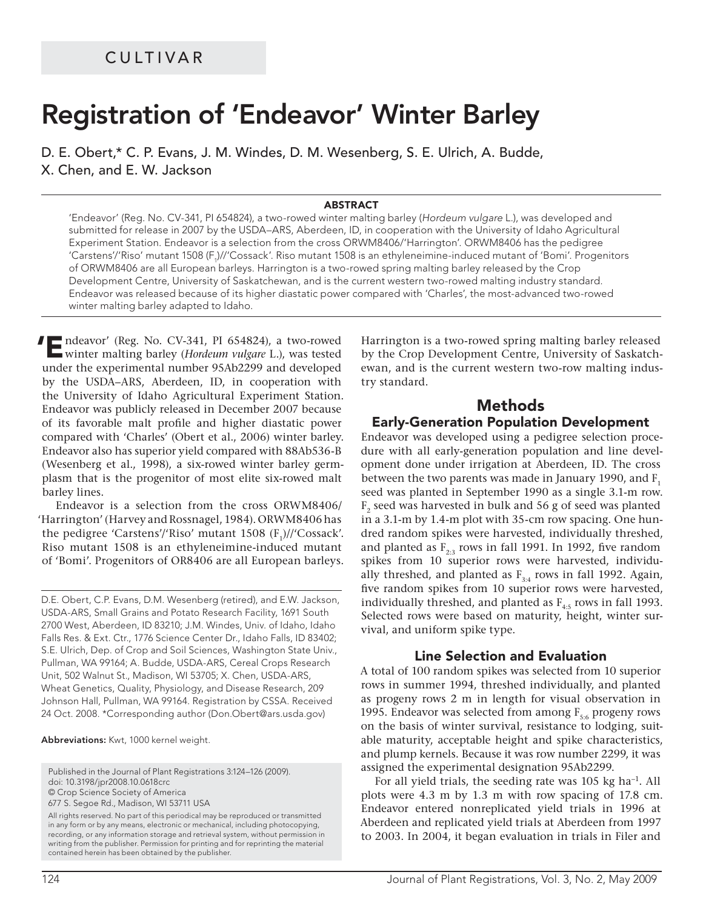# **Registration of 'Endeavor' Winter Barley**

D. E. Obert,\* C. P. Evans, J. M. Windes, D. M. Wesenberg, S. E. Ulrich, A. Budde, X. Chen, and E. W. Jackson

#### **ABSTRACT**

'Endeavor' (Reg. No. CV-341, PI 654824), a two-rowed winter malting barley (Hordeum vulgare L.), was developed and submitted for release in 2007 by the USDA–ARS, Aberdeen, ID, in cooperation with the University of Idaho Agricultural Experiment Station. Endeavor is a selection from the cross ORWM8406/'Harrington'. ORWM8406 has the pedigree 'Carstens'/'Riso' mutant 1508 (F<sub>1</sub>)//'Cossack'. Riso mutant 1508 is an ethyleneimine-induced mutant of 'Bomi'. Progenitors of ORWM8406 are all European barleys. Harrington is a two-rowed spring malting barley released by the Crop Development Centre, University of Saskatchewan, and is the current western two-rowed malting industry standard. Endeavor was released because of its higher diastatic power compared with 'Charles', the most-advanced two-rowed winter malting barley adapted to Idaho.

**'E**ndeavor' (Reg. No. CV-341, PI 654824), a two-rowed winter malting barley (*Hordeum vulgare* L.), was tested under the experimental number 95Ab2299 and developed by the USDA–ARS, Aberdeen, ID, in cooperation with the University of Idaho Agricultural Experiment Station. Endeavor was publicly released in December 2007 because of its favorable malt profile and higher diastatic power compared with 'Charles' (Obert et al., 2006) winter barley. Endeavor also has superior yield compared with 88Ab536-B (Wesenberg et al., 1998), a six-rowed winter barley germplasm that is the progenitor of most elite six-rowed malt barley lines.

Endeavor is a selection from the cross ORWM8406/ 'Harrington' (Harvey and Rossnagel, 1984). ORWM8406 has the pedigree 'Carstens'/'Riso' mutant  $1508$  (F<sub>1</sub>)//'Cossack'. Riso mutant 1508 is an ethyleneimine-induced mutant of 'Bomi'. Progenitors of OR8406 are all European barleys.

D.E. Obert, C.P. Evans, D.M. Wesenberg (retired), and E.W. Jackson, USDA-ARS, Small Grains and Potato Research Facility, 1691 South 2700 West, Aberdeen, ID 83210; J.M. Windes, Univ. of Idaho, Idaho Falls Res. & Ext. Ctr., 1776 Science Center Dr., Idaho Falls, ID 83402; S.E. Ulrich, Dep. of Crop and Soil Sciences, Washington State Univ., Pullman, WA 99164; A. Budde, USDA-ARS, Cereal Crops Research Unit, 502 Walnut St., Madison, WI 53705; X. Chen, USDA-ARS, Wheat Genetics, Quality, Physiology, and Disease Research, 209 Johnson Hall, Pullman, WA 99164. Registration by CSSA. Received 24 Oct. 2008. \*Corresponding author (Don.Obert@ars.usda.gov)

**Abbreviations:** Kwt, 1000 kernel weight.

Published in the Journal of Plant Registrations 3:124–126 (2009). doi: 10.3198/jpr2008.10.0618crc

© Crop Science Society of America

677 S. Segoe Rd., Madison, WI 53711 USA

All rights reserved. No part of this periodical may be reproduced or transmitted in any form or by any means, electronic or mechanical, including photocopying, recording, or any information storage and retrieval system, without permission in writing from the publisher. Permission for printing and for reprinting the material contained herein has been obtained by the publisher.

Harrington is a two-rowed spring malting barley released by the Crop Development Centre, University of Saskatchewan, and is the current western two-row malting industry standard.

# **Methods**

### **Early-Generation Population Development**

Endeavor was developed using a pedigree selection procedure with all early-generation population and line development done under irrigation at Aberdeen, ID. The cross between the two parents was made in January 1990, and  $F_1$ seed was planted in September 1990 as a single 3.1-m row.  $F<sub>2</sub>$  seed was harvested in bulk and 56 g of seed was planted in a 3.1-m by 1.4-m plot with 35-cm row spacing. One hundred random spikes were harvested, individually threshed, and planted as  $F_{2,3}$  rows in fall 1991. In 1992, five random spikes from 10 superior rows were harvested, individually threshed, and planted as  $F_{3:4}$  rows in fall 1992. Again, five random spikes from 10 superior rows were harvested, individually threshed, and planted as  $F_{4.5}$  rows in fall 1993. Selected rows were based on maturity, height, winter survival, and uniform spike type.

### **Line Selection and Evaluation**

A total of 100 random spikes was selected from 10 superior rows in summer 1994, threshed individually, and planted as progeny rows 2 m in length for visual observation in 1995. Endeavor was selected from among  $F_{5:6}$  progeny rows on the basis of winter survival, resistance to lodging, suitable maturity, acceptable height and spike characteristics, and plump kernels. Because it was row number 2299, it was assigned the experimental designation 95Ab2299.

For all yield trials, the seeding rate was 105 kg ha<sup>-1</sup>. All plots were 4.3 m by 1.3 m with row spacing of 17.8 cm. Endeavor entered nonreplicated yield trials in 1996 at Aberdeen and replicated yield trials at Aberdeen from 1997 to 2003. In 2004, it began evaluation in trials in Filer and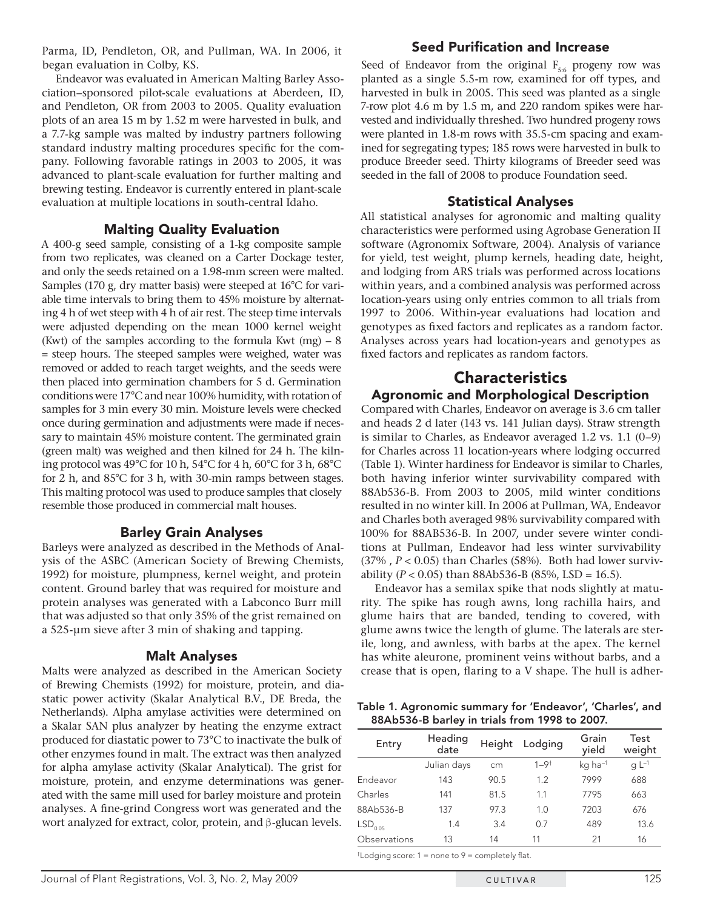Parma, ID, Pendleton, OR, and Pullman, WA. In 2006, it began evaluation in Colby, KS.

Endeavor was evaluated in American Malting Barley Association–sponsored pilot-scale evaluations at Aberdeen, ID, and Pendleton, OR from 2003 to 2005. Quality evaluation plots of an area 15 m by 1.52 m were harvested in bulk, and a 7.7-kg sample was malted by industry partners following standard industry malting procedures specific for the company. Following favorable ratings in 2003 to 2005, it was advanced to plant-scale evaluation for further malting and brewing testing. Endeavor is currently entered in plant-scale evaluation at multiple locations in south-central Idaho.

# **Malting Quality Evaluation**

A 400-g seed sample, consisting of a 1-kg composite sample from two replicates, was cleaned on a Carter Dockage tester, and only the seeds retained on a 1.98-mm screen were malted. Samples (170 g, dry matter basis) were steeped at 16°C for variable time intervals to bring them to 45% moisture by alternating 4 h of wet steep with 4 h of air rest. The steep time intervals were adjusted depending on the mean 1000 kernel weight (Kwt) of the samples according to the formula Kwt  $(mg) - 8$ = steep hours. The steeped samples were weighed, water was removed or added to reach target weights, and the seeds were then placed into germination chambers for 5 d. Germination conditions were 17°C and near 100% humidity, with rotation of samples for 3 min every 30 min. Moisture levels were checked once during germination and adjustments were made if necessary to maintain 45% moisture content. The germinated grain (green malt) was weighed and then kilned for 24 h. The kilning protocol was 49°C for 10 h, 54°C for 4 h, 60°C for 3 h, 68°C for 2 h, and 85°C for 3 h, with 30-min ramps between stages. This malting protocol was used to produce samples that closely resemble those produced in commercial malt houses.

### **Barley Grain Analyses**

Barleys were analyzed as described in the Methods of Analysis of the ASBC (American Society of Brewing Chemists, 1992) for moisture, plumpness, kernel weight, and protein content. Ground barley that was required for moisture and protein analyses was generated with a Labconco Burr mill that was adjusted so that only 35% of the grist remained on a 525-μm sieve after 3 min of shaking and tapping.

### **Malt Analyses**

Malts were analyzed as described in the American Society of Brewing Chemists (1992) for moisture, protein, and diastatic power activity (Skalar Analytical B.V., DE Breda, the Netherlands). Alpha amylase activities were determined on a Skalar SAN plus analyzer by heating the enzyme extract produced for diastatic power to 73°C to inactivate the bulk of other enzymes found in malt. The extract was then analyzed for alpha amylase activity (Skalar Analytical). The grist for moisture, protein, and enzyme determinations was generated with the same mill used for barley moisture and protein analyses. A fine-grind Congress wort was generated and the wort analyzed for extract, color, protein, and β-glucan levels.

# **Seed Purification and Increase**

Seed of Endeavor from the original  $F_{5:6}$  progeny row was planted as a single 5.5-m row, examined for off types, and harvested in bulk in 2005. This seed was planted as a single 7-row plot 4.6 m by 1.5 m, and 220 random spikes were harvested and individually threshed. Two hundred progeny rows were planted in 1.8-m rows with 35.5-cm spacing and examined for segregating types; 185 rows were harvested in bulk to produce Breeder seed. Thirty kilograms of Breeder seed was seeded in the fall of 2008 to produce Foundation seed.

## **Statistical Analyses**

All statistical analyses for agronomic and malting quality characteristics were performed using Agrobase Generation II software (Agronomix Software, 2004). Analysis of variance for yield, test weight, plump kernels, heading date, height, and lodging from ARS trials was performed across locations within years, and a combined analysis was performed across location-years using only entries common to all trials from 1997 to 2006. Within-year evaluations had location and genotypes as fixed factors and replicates as a random factor. Analyses across years had location-years and genotypes as fixed factors and replicates as random factors.

# **Characteristics Agronomic and Morphological Description**

Compared with Charles, Endeavor on average is 3.6 cm taller and heads 2 d later (143 vs. 141 Julian days). Straw strength is similar to Charles, as Endeavor averaged 1.2 vs. 1.1 (0–9) for Charles across 11 location-years where lodging occurred (Table 1). Winter hardiness for Endeavor is similar to Charles, both having inferior winter survivability compared with 88Ab536-B. From 2003 to 2005, mild winter conditions resulted in no winter kill. In 2006 at Pullman, WA, Endeavor and Charles both averaged 98% survivability compared with 100% for 88AB536-B. In 2007, under severe winter conditions at Pullman, Endeavor had less winter survivability (37% , *P* < 0.05) than Charles (58%). Both had lower survivability ( $P < 0.05$ ) than 88Ab536-B (85%, LSD = 16.5).

Endeavor has a semilax spike that nods slightly at maturity. The spike has rough awns, long rachilla hairs, and glume hairs that are banded, tending to covered, with glume awns twice the length of glume. The laterals are sterile, long, and awnless, with barbs at the apex. The kernel has white aleurone, prominent veins without barbs, and a crease that is open, flaring to a V shape. The hull is adher-

**Table 1. Agronomic summary for 'Endeavor', 'Charles', and 88Ab536-B barley in trials from 1998 to 2007.**

| Entry               | Heading<br>date | Height | Lodging     | Grain<br>yield        | Test<br>weight |
|---------------------|-----------------|--------|-------------|-----------------------|----------------|
|                     | Julian days     | cm     | $1 - 9^{+}$ | $kq$ ha <sup>-1</sup> | q $L^{-1}$     |
| Endeavor            | 143             | 90.5   | 1.2         | 7999                  | 688            |
| Charles             | 141             | 81.5   | 11          | 7795                  | 663            |
| 88Ab536-B           | 137             | 97.3   | 1.0         | 7203                  | 676            |
| LSD <sub>0.05</sub> | 1.4             | 3.4    | 0.7         | 489                   | 13.6           |
| Observations        | 13              | 14     | 11          | 21                    | 16             |
|                     |                 |        |             |                       |                |

 $\dagger$ Lodging score: 1 = none to 9 = completely flat.